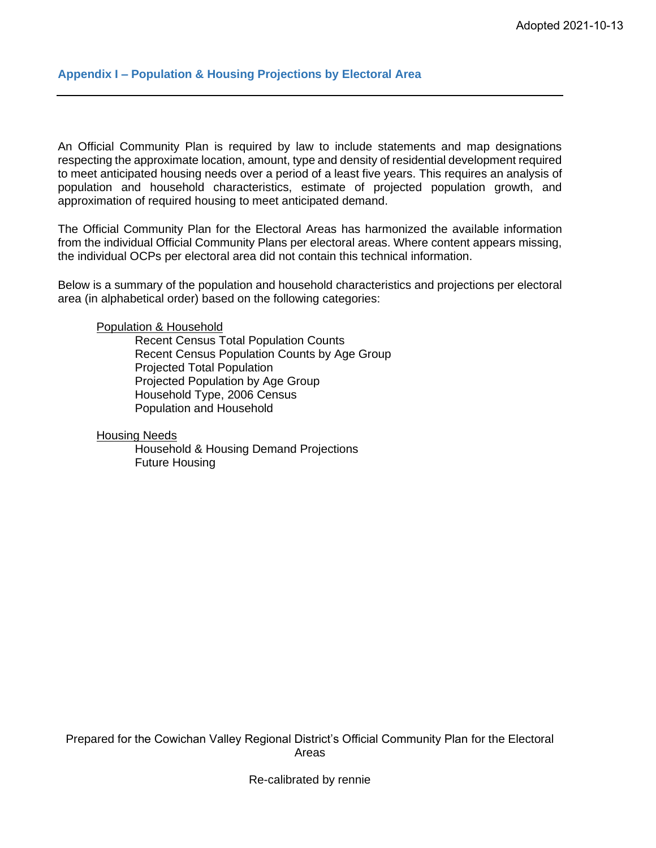### **Appendix I – Population & Housing Projections by Electoral Area**

An Official Community Plan is required by law to include statements and map designations respecting the approximate location, amount, type and density of residential development required to meet anticipated housing needs over a period of a least five years. This requires an analysis of population and household characteristics, estimate of projected population growth, and approximation of required housing to meet anticipated demand.

The Official Community Plan for the Electoral Areas has harmonized the available information from the individual Official Community Plans per electoral areas. Where content appears missing, the individual OCPs per electoral area did not contain this technical information.

Below is a summary of the population and household characteristics and projections per electoral area (in alphabetical order) based on the following categories:

#### Population & Household

Recent Census Total Population Counts Recent Census Population Counts by Age Group Projected Total Population Projected Population by Age Group Household Type, 2006 Census Population and Household

Housing Needs

Household & Housing Demand Projections Future Housing

Prepared for the Cowichan Valley Regional District's Official Community Plan for the Electoral Areas

Re-calibrated by rennie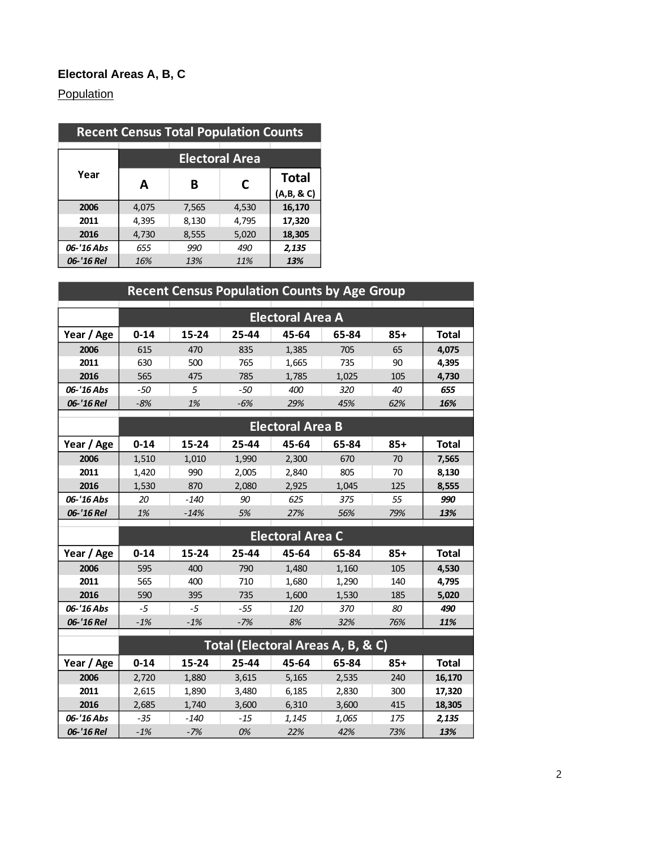# **Electoral Areas A, B, C**

**Population** 

# **Recent Census Total Population Counts**

|            |       |       | <b>Electoral Area</b> |               |
|------------|-------|-------|-----------------------|---------------|
| Year       | A     | В     | C                     | <b>Total</b>  |
|            |       |       |                       | $(A,B, \& C)$ |
| 2006       | 4,075 | 7,565 | 4,530                 | 16,170        |
| 2011       | 4,395 | 8,130 | 4,795                 | 17,320        |
| 2016       | 4,730 | 8,555 | 5,020                 | 18,305        |
| 06-'16 Abs | 655   | 990   | 490                   | 2,135         |
| 06-'16 Rel | 16%   | 13%   | 11%                   | 13%           |

## **Recent Census Population Counts by Age Group**

|            |          | <b>Electoral Area A</b> |       |       |       |       |              |
|------------|----------|-------------------------|-------|-------|-------|-------|--------------|
| Year / Age | $0 - 14$ | $15 - 24$               | 25-44 | 45-64 | 65-84 | $85+$ | <b>Total</b> |
| 2006       | 615      | 470                     | 835   | 1,385 | 705   | 65    | 4,075        |
| 2011       | 630      | 500                     | 765   | 1,665 | 735   | 90    | 4,395        |
| 2016       | 565      | 475                     | 785   | 1,785 | 1,025 | 105   | 4,730        |
| 06-'16 Abs | -50      | 5                       | -50   | 400   | 320   | 40    | 655          |
| 06-'16 Rel | $-8%$    | 1%                      | $-6%$ | 29%   | 45%   | 62%   | 16%          |
|            |          |                         |       |       |       |       |              |

|            | <b>Electoral Area B</b> |        |       |       |       |       |              |
|------------|-------------------------|--------|-------|-------|-------|-------|--------------|
| Year / Age | $0 - 14$                | 15-24  | 25-44 | 45-64 | 65-84 | $85+$ | <b>Total</b> |
| 2006       | 1,510                   | 1,010  | 1,990 | 2,300 | 670   | 70    | 7,565        |
| 2011       | 1.420                   | 990    | 2,005 | 2,840 | 805   | 70    | 8,130        |
| 2016       | 1,530                   | 870    | 2,080 | 2,925 | 1,045 | 125   | 8,555        |
| 06-'16 Abs | 20                      | -140   | 90    | 625   | 375   | 55    | 990          |
| 06-'16 Rel | 1%                      | $-14%$ | 5%    | 27%   | 56%   | 79%   | 13%          |
|            |                         |        |       |       |       |       |              |

|            | <b>Electoral Area C</b> |       |       |       |       |       |              |
|------------|-------------------------|-------|-------|-------|-------|-------|--------------|
| Year / Age | $0 - 14$                | 15-24 | 25-44 | 45-64 | 65-84 | $85+$ | <b>Total</b> |
| 2006       | 595                     | 400   | 790   | 1,480 | 1,160 | 105   | 4,530        |
| 2011       | 565                     | 400   | 710   | 1,680 | 1,290 | 140   | 4.795        |
| 2016       | 590                     | 395   | 735   | 1,600 | 1,530 | 185   | 5,020        |
| 06-'16 Abs | -5                      | -5    | $-55$ | 120   | 370   | 80    | 490          |
| 06-'16 Rel | $-1\%$                  | $-1%$ | $-7%$ | 8%    | 32%   | 76%   | 11%          |
|            |                         |       |       |       |       |       |              |

|            |          | Total (Electoral Areas A, B, & C) |       |       |       |       |              |  |
|------------|----------|-----------------------------------|-------|-------|-------|-------|--------------|--|
| Year / Age | $0 - 14$ | 15-24                             | 25-44 | 45-64 | 65-84 | $85+$ | <b>Total</b> |  |
| 2006       | 2,720    | 1,880                             | 3,615 | 5,165 | 2,535 | 240   | 16,170       |  |
| 2011       | 2,615    | 1.890                             | 3,480 | 6.185 | 2,830 | 300   | 17,320       |  |
| 2016       | 2,685    | 1,740                             | 3,600 | 6,310 | 3,600 | 415   | 18,305       |  |
| 06-'16 Abs | $-35$    | $-140$                            | $-15$ | 1,145 | 1,065 | 175   | 2,135        |  |
| 06-'16 Rel | $-1%$    | $-7%$                             | 0%    | 22%   | 42%   | 73%   | 13%          |  |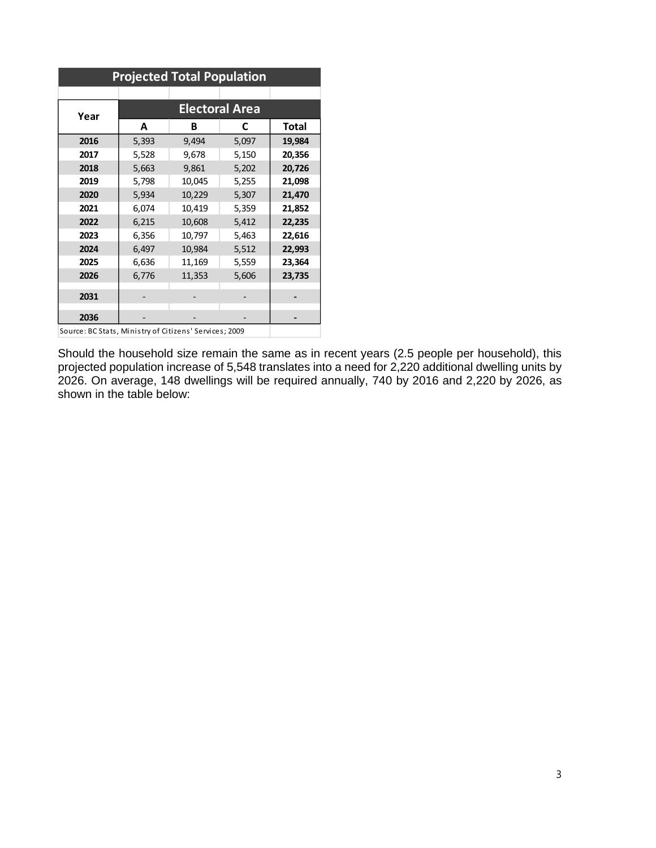|                                                        | <b>Projected Total Population</b> |        |                       |        |  |
|--------------------------------------------------------|-----------------------------------|--------|-----------------------|--------|--|
|                                                        |                                   |        |                       |        |  |
| Year                                                   |                                   |        | <b>Electoral Area</b> |        |  |
|                                                        | А                                 | B      | C                     | Total  |  |
| 2016                                                   | 5,393                             | 9,494  | 5,097                 | 19,984 |  |
| 2017                                                   | 5,528                             | 9,678  | 5,150                 | 20,356 |  |
| 2018                                                   | 5,663                             | 9,861  | 5,202                 | 20,726 |  |
| 2019                                                   | 5,798                             | 10,045 | 5,255                 | 21,098 |  |
| 2020                                                   | 5,934                             | 10,229 | 5,307                 | 21,470 |  |
| 2021                                                   | 6,074                             | 10,419 | 5,359                 | 21,852 |  |
| 2022                                                   | 6,215                             | 10,608 | 5,412                 | 22,235 |  |
| 2023                                                   | 6,356                             | 10,797 | 5,463                 | 22,616 |  |
| 2024                                                   | 6,497                             | 10,984 | 5,512                 | 22,993 |  |
| 2025                                                   | 6,636                             | 11,169 | 5,559                 | 23,364 |  |
| 2026                                                   | 6,776                             | 11,353 | 5,606                 | 23,735 |  |
| 2031                                                   |                                   |        |                       |        |  |
|                                                        |                                   |        |                       |        |  |
| 2036                                                   |                                   |        |                       |        |  |
| Source: BC Stats, Ministry of Citizens' Services; 2009 |                                   |        |                       |        |  |

Should the household size remain the same as in recent years (2.5 people per household), this projected population increase of 5,548 translates into a need for 2,220 additional dwelling units by 2026. On average, 148 dwellings will be required annually, 740 by 2016 and 2,220 by 2026, as shown in the table below: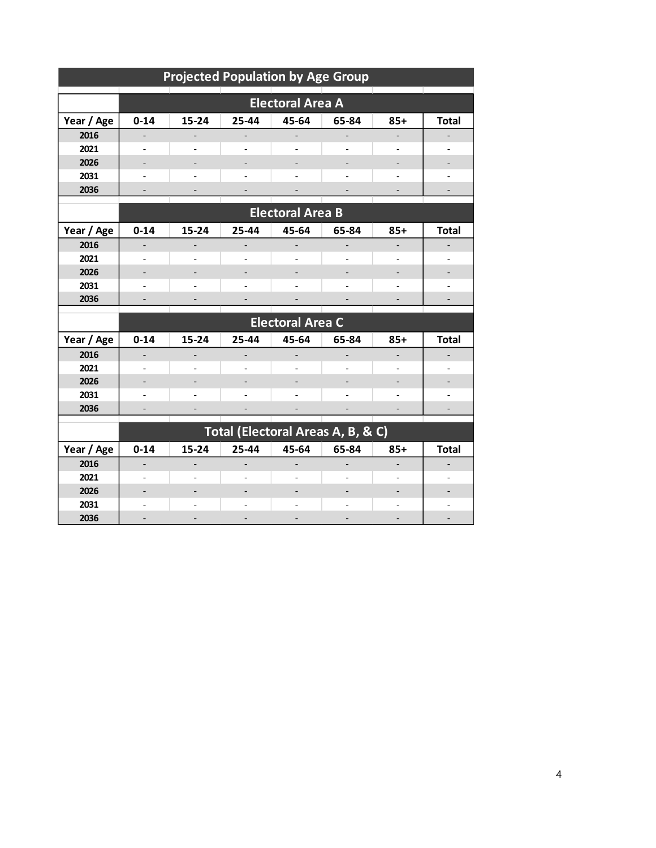| <b>Projected Population by Age Group</b> |                          |                          |                          |                              |                                   |       |              |
|------------------------------------------|--------------------------|--------------------------|--------------------------|------------------------------|-----------------------------------|-------|--------------|
|                                          | <b>Electoral Area A</b>  |                          |                          |                              |                                   |       |              |
| Year / Age                               | $0 - 14$                 | 15-24                    | $25 - 44$                | 45-64                        | 65-84                             | $85+$ | <b>Total</b> |
| 2016                                     | $\overline{\phantom{a}}$ |                          | $\overline{\phantom{0}}$ | $\overline{\phantom{a}}$     | $\overline{\phantom{0}}$          |       |              |
| 2021                                     |                          |                          |                          |                              |                                   |       |              |
| 2026                                     |                          |                          |                          |                              |                                   |       |              |
| 2031                                     |                          |                          |                          |                              |                                   |       |              |
| 2036                                     |                          |                          |                          |                              |                                   |       |              |
|                                          |                          |                          |                          | <b>Electoral Area B</b>      |                                   |       |              |
|                                          |                          |                          |                          |                              |                                   |       |              |
| Year / Age                               | $0 - 14$                 | 15-24                    | 25-44                    | 45-64                        | 65-84                             | $85+$ | <b>Total</b> |
| 2016                                     |                          |                          |                          | $\qquad \qquad \blacksquare$ |                                   |       |              |
| 2021                                     |                          |                          |                          | $\overline{\phantom{a}}$     |                                   |       |              |
| 2026                                     |                          |                          |                          |                              |                                   |       |              |
| 2031                                     |                          |                          |                          |                              |                                   |       |              |
| 2036                                     |                          |                          |                          |                              |                                   |       |              |
|                                          |                          |                          |                          | <b>Electoral Area C</b>      |                                   |       |              |
| Year / Age                               | $0 - 14$                 | 15-24                    | 25-44                    | 45-64                        | 65-84                             | $85+$ | <b>Total</b> |
| 2016                                     |                          |                          |                          |                              |                                   |       |              |
| 2021                                     |                          |                          |                          |                              |                                   |       |              |
| 2026                                     |                          |                          |                          |                              |                                   |       |              |
| 2031                                     |                          |                          |                          |                              |                                   |       |              |
| 2036                                     |                          |                          |                          |                              |                                   |       |              |
|                                          |                          |                          |                          |                              |                                   |       |              |
|                                          |                          |                          |                          |                              | Total (Electoral Areas A, B, & C) |       |              |
| Year / Age                               | $0 - 14$                 | 15-24                    | 25-44                    | 45-64                        | 65-84                             | $85+$ | <b>Total</b> |
| 2016                                     |                          |                          |                          |                              |                                   |       |              |
| 2021                                     |                          |                          |                          |                              |                                   |       |              |
| 2026                                     |                          | $\overline{\phantom{a}}$ | $\overline{\phantom{0}}$ | $\overline{\phantom{a}}$     |                                   | -     |              |
| 2031                                     |                          |                          |                          |                              |                                   |       |              |
| 2036                                     |                          |                          |                          |                              |                                   |       |              |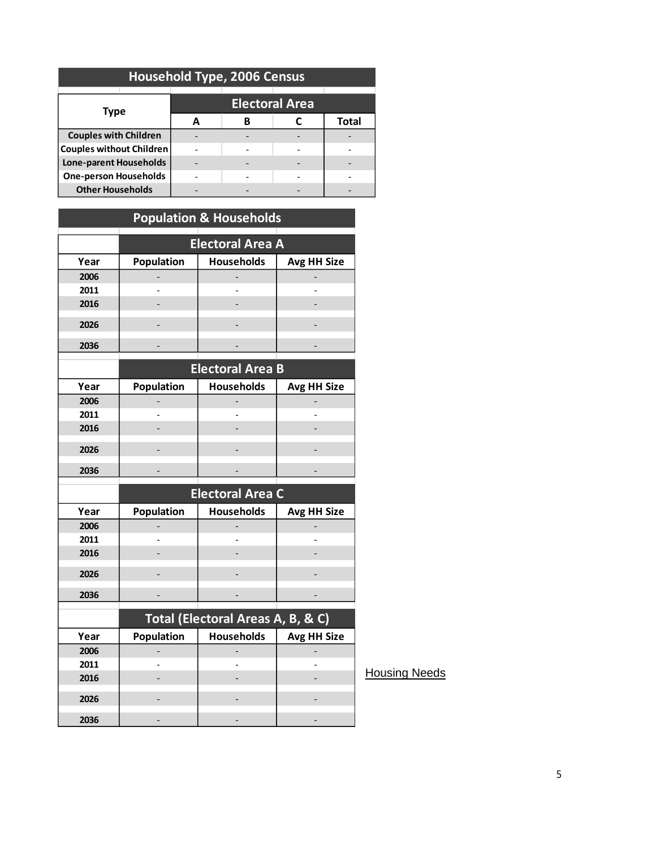| <b>Household Type, 2006 Census</b> |                       |   |  |       |  |  |
|------------------------------------|-----------------------|---|--|-------|--|--|
| Type                               | <b>Electoral Area</b> |   |  |       |  |  |
|                                    | A                     | в |  | Total |  |  |
| <b>Couples with Children</b>       |                       |   |  |       |  |  |
| <b>Couples without Children</b>    |                       |   |  |       |  |  |
| <b>Lone-parent Households</b>      |                       |   |  |       |  |  |
| <b>One-person Households</b>       |                       |   |  |       |  |  |
| <b>Other Households</b>            |                       |   |  |       |  |  |

|      |                | <b>Population &amp; Households</b> |                    |
|------|----------------|------------------------------------|--------------------|
|      |                | <b>Electoral Area A</b>            |                    |
| Year | Population     | <b>Households</b>                  | <b>Avg HH Size</b> |
| 2006 |                |                                    |                    |
| 2011 |                |                                    |                    |
| 2016 |                |                                    |                    |
| 2026 | $\overline{a}$ | $\overline{a}$                     |                    |
| 2036 |                |                                    |                    |
|      |                | <b>Electoral Area B</b>            |                    |
| Year | Population     | <b>Households</b>                  | <b>Avg HH Size</b> |
| 2006 |                |                                    |                    |
| 2011 |                |                                    |                    |
| 2016 |                |                                    |                    |
| 2026 | $\overline{a}$ |                                    | -                  |
| 2036 |                |                                    |                    |
|      |                | <b>Electoral Area C</b>            |                    |
| Year | Population     | <b>Households</b>                  | <b>Avg HH Size</b> |
| 2006 |                |                                    |                    |
| 2011 |                |                                    |                    |
| 2016 |                |                                    |                    |
| 2026 |                |                                    |                    |
| 2036 |                |                                    |                    |
|      |                | Total (Electoral Areas A, B, & C)  |                    |
| Year | Population     | <b>Households</b>                  | <b>Avg HH Size</b> |
| 2006 |                |                                    |                    |
| 2011 |                |                                    |                    |
| 2016 |                |                                    |                    |
| 2026 |                |                                    |                    |
| 2036 |                |                                    |                    |

**Housing Needs**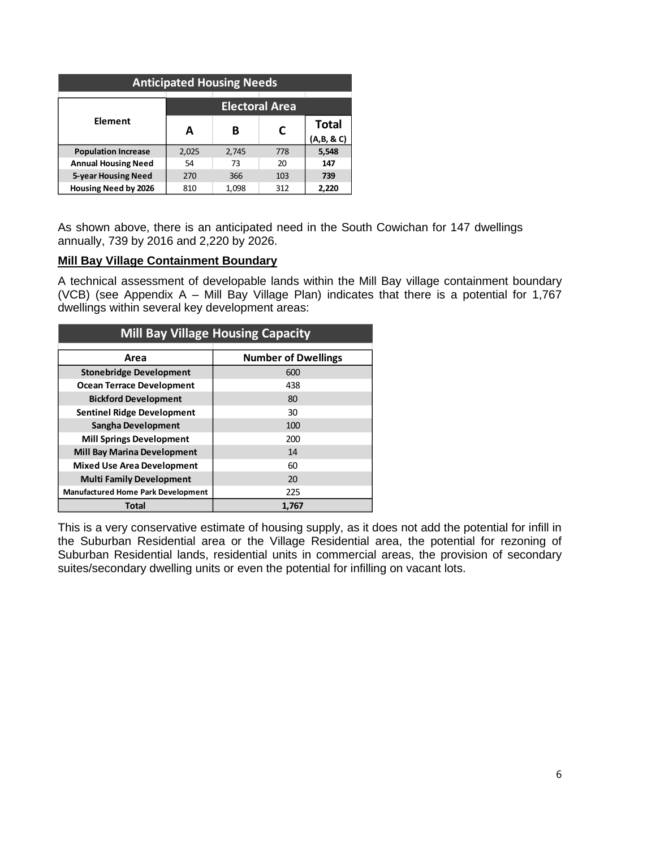| <b>Anticipated Housing Needs</b> |       |                       |     |                |  |
|----------------------------------|-------|-----------------------|-----|----------------|--|
|                                  |       | <b>Electoral Area</b> |     |                |  |
| <b>Element</b>                   |       | в                     |     | <b>Total</b>   |  |
|                                  |       |                       |     | $(A, B, \& C)$ |  |
| <b>Population Increase</b>       | 2,025 | 2,745                 | 778 | 5,548          |  |
| <b>Annual Housing Need</b>       | 54    | 73                    | 20  | 147            |  |
| 5-year Housing Need              | 270   | 366                   | 103 | 739            |  |
| <b>Housing Need by 2026</b>      | 810   | 1,098                 | 312 | 2,220          |  |

As shown above, there is an anticipated need in the South Cowichan for 147 dwellings annually, 739 by 2016 and 2,220 by 2026.

### **Mill Bay Village Containment Boundary**

A technical assessment of developable lands within the Mill Bay village containment boundary (VCB) (see Appendix A – Mill Bay Village Plan) indicates that there is a potential for 1,767 dwellings within several key development areas:

| <b>Mill Bay Village Housing Capacity</b>  |                            |  |  |  |
|-------------------------------------------|----------------------------|--|--|--|
| Area                                      | <b>Number of Dwellings</b> |  |  |  |
| <b>Stonebridge Development</b>            | 600                        |  |  |  |
| <b>Ocean Terrace Development</b>          | 438                        |  |  |  |
| <b>Bickford Development</b>               | 80                         |  |  |  |
| <b>Sentinel Ridge Development</b>         | 30                         |  |  |  |
| Sangha Development                        | 100                        |  |  |  |
| <b>Mill Springs Development</b>           | 200                        |  |  |  |
| <b>Mill Bay Marina Development</b>        | 14                         |  |  |  |
| <b>Mixed Use Area Development</b>         | 60                         |  |  |  |
| <b>Multi Family Development</b>           | 20                         |  |  |  |
| <b>Manufactured Home Park Development</b> | 225                        |  |  |  |
| Total                                     | 1,767                      |  |  |  |

This is a very conservative estimate of housing supply, as it does not add the potential for infill in the Suburban Residential area or the Village Residential area, the potential for rezoning of Suburban Residential lands, residential units in commercial areas, the provision of secondary suites/secondary dwelling units or even the potential for infilling on vacant lots.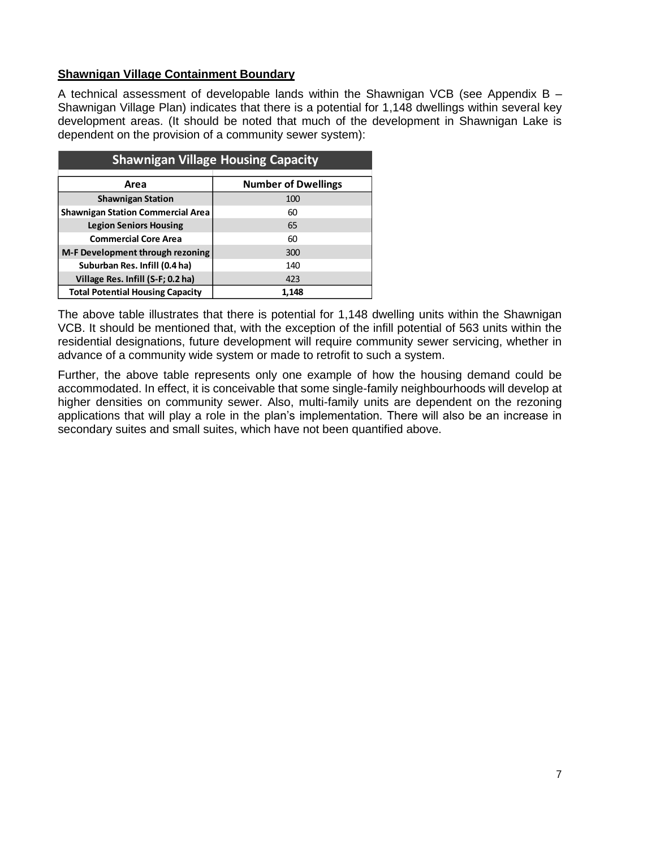### **Shawnigan Village Containment Boundary**

A technical assessment of developable lands within the Shawnigan VCB (see Appendix B – Shawnigan Village Plan) indicates that there is a potential for 1,148 dwellings within several key development areas. (It should be noted that much of the development in Shawnigan Lake is dependent on the provision of a community sewer system):

| <b>Shawnigan Village Housing Capacity</b> |                            |  |  |  |
|-------------------------------------------|----------------------------|--|--|--|
| Area                                      | <b>Number of Dwellings</b> |  |  |  |
| <b>Shawnigan Station</b>                  | 100                        |  |  |  |
| <b>Shawnigan Station Commercial Area</b>  | 60                         |  |  |  |
| <b>Legion Seniors Housing</b>             | 65                         |  |  |  |
| <b>Commercial Core Area</b>               | 60                         |  |  |  |
| M-F Development through rezoning          | 300                        |  |  |  |
| Suburban Res. Infill (0.4 ha)             | 140                        |  |  |  |
| Village Res. Infill (S-F; 0.2 ha)         | 423                        |  |  |  |
| <b>Total Potential Housing Capacity</b>   | 1.148                      |  |  |  |

The above table illustrates that there is potential for 1,148 dwelling units within the Shawnigan VCB. It should be mentioned that, with the exception of the infill potential of 563 units within the residential designations, future development will require community sewer servicing, whether in advance of a community wide system or made to retrofit to such a system.

Further, the above table represents only one example of how the housing demand could be accommodated. In effect, it is conceivable that some single-family neighbourhoods will develop at higher densities on community sewer. Also, multi-family units are dependent on the rezoning applications that will play a role in the plan's implementation. There will also be an increase in secondary suites and small suites, which have not been quantified above.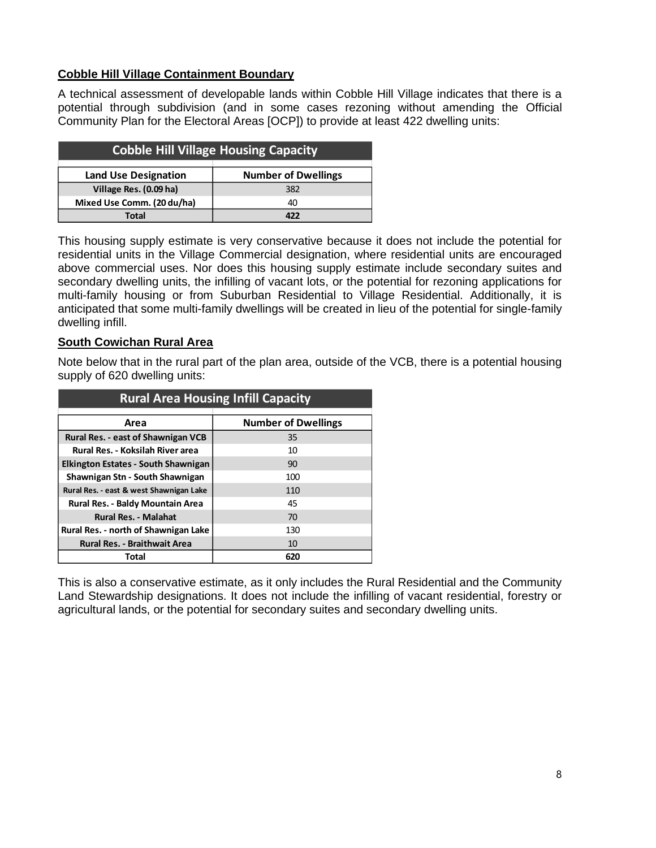### **Cobble Hill Village Containment Boundary**

A technical assessment of developable lands within Cobble Hill Village indicates that there is a potential through subdivision (and in some cases rezoning without amending the Official Community Plan for the Electoral Areas [OCP]) to provide at least 422 dwelling units:

| <b>Cobble Hill Village Housing Capacity</b>               |     |  |  |  |
|-----------------------------------------------------------|-----|--|--|--|
| <b>Number of Dwellings</b><br><b>Land Use Designation</b> |     |  |  |  |
| Village Res. (0.09 ha)                                    | 382 |  |  |  |
| Mixed Use Comm. (20 du/ha)                                | 40  |  |  |  |
| Total                                                     |     |  |  |  |

This housing supply estimate is very conservative because it does not include the potential for residential units in the Village Commercial designation, where residential units are encouraged above commercial uses. Nor does this housing supply estimate include secondary suites and secondary dwelling units, the infilling of vacant lots, or the potential for rezoning applications for multi-family housing or from Suburban Residential to Village Residential. Additionally, it is anticipated that some multi-family dwellings will be created in lieu of the potential for single-family dwelling infill.

### **South Cowichan Rural Area**

Note below that in the rural part of the plan area, outside of the VCB, there is a potential housing supply of 620 dwelling units:

| <b>Rural Area Housing Infill Capacity</b> |                            |  |  |  |  |
|-------------------------------------------|----------------------------|--|--|--|--|
| Area                                      | <b>Number of Dwellings</b> |  |  |  |  |
| <b>Rural Res. - east of Shawnigan VCB</b> | 35                         |  |  |  |  |
| <b>Rural Res. - Koksilah River area</b>   | 10                         |  |  |  |  |
| Elkington Estates - South Shawnigan       | 90                         |  |  |  |  |
| Shawnigan Stn - South Shawnigan           | 100                        |  |  |  |  |
| Rural Res. - east & west Shawnigan Lake   | 110                        |  |  |  |  |
| Rural Res. - Baldy Mountain Area          | 45                         |  |  |  |  |
| <b>Rural Res. - Malahat</b>               | 70                         |  |  |  |  |
| Rural Res. - north of Shawnigan Lake      | 130                        |  |  |  |  |
| <b>Rural Res. - Braithwait Area</b>       | 10                         |  |  |  |  |
| Total                                     | 620                        |  |  |  |  |

This is also a conservative estimate, as it only includes the Rural Residential and the Community Land Stewardship designations. It does not include the infilling of vacant residential, forestry or agricultural lands, or the potential for secondary suites and secondary dwelling units.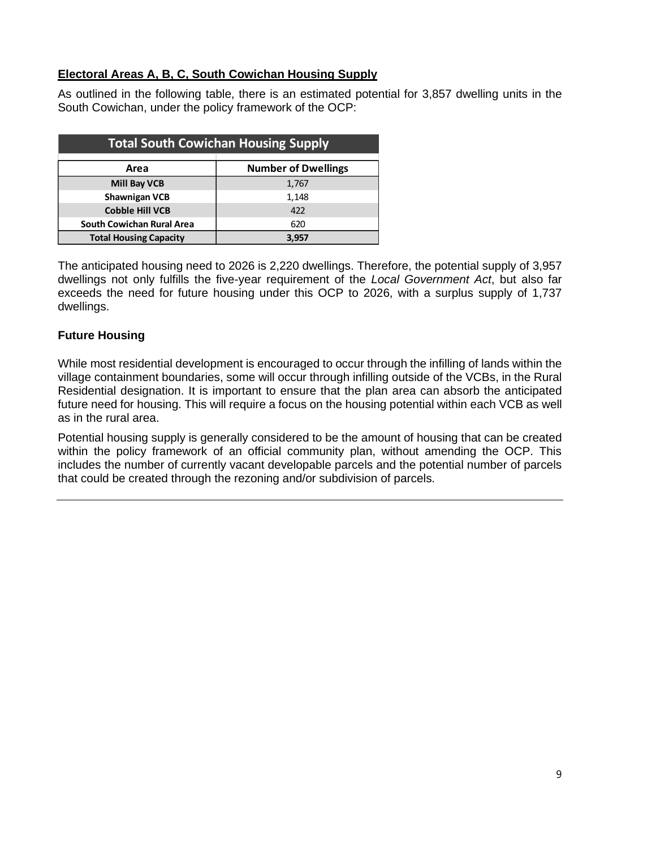## **Electoral Areas A, B, C, South Cowichan Housing Supply**

As outlined in the following table, there is an estimated potential for 3,857 dwelling units in the South Cowichan, under the policy framework of the OCP:

| <b>Total South Cowichan Housing Supply</b> |                            |  |  |  |
|--------------------------------------------|----------------------------|--|--|--|
| Area                                       | <b>Number of Dwellings</b> |  |  |  |
| <b>Mill Bay VCB</b>                        | 1,767                      |  |  |  |
| <b>Shawnigan VCB</b>                       | 1,148                      |  |  |  |
| <b>Cobble Hill VCB</b>                     | 422                        |  |  |  |
| <b>South Cowichan Rural Area</b>           | 620                        |  |  |  |
| <b>Total Housing Capacity</b>              | 3.957                      |  |  |  |

The anticipated housing need to 2026 is 2,220 dwellings. Therefore, the potential supply of 3,957 dwellings not only fulfills the five-year requirement of the *Local Government Act*, but also far exceeds the need for future housing under this OCP to 2026, with a surplus supply of 1,737 dwellings.

### **Future Housing**

While most residential development is encouraged to occur through the infilling of lands within the village containment boundaries, some will occur through infilling outside of the VCBs, in the Rural Residential designation. It is important to ensure that the plan area can absorb the anticipated future need for housing. This will require a focus on the housing potential within each VCB as well as in the rural area.

Potential housing supply is generally considered to be the amount of housing that can be created within the policy framework of an official community plan, without amending the OCP. This includes the number of currently vacant developable parcels and the potential number of parcels that could be created through the rezoning and/or subdivision of parcels.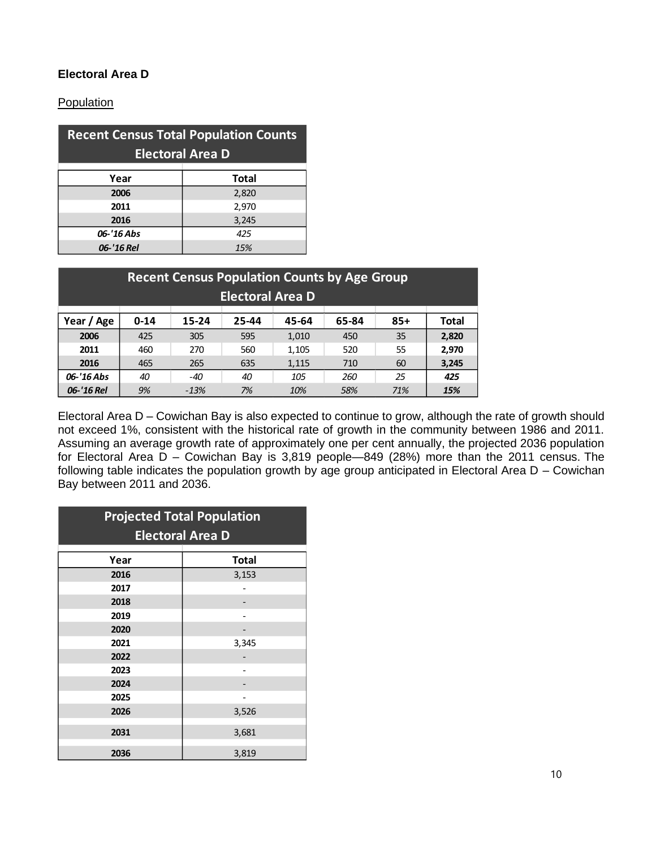## **Electoral Area D**

### **Population**

| <b>Recent Census Total Population Counts</b><br><b>Electoral Area D</b> |       |  |  |  |
|-------------------------------------------------------------------------|-------|--|--|--|
|                                                                         |       |  |  |  |
| Year                                                                    | Total |  |  |  |
| 2006                                                                    | 2,820 |  |  |  |
| 2011                                                                    | 2,970 |  |  |  |
| 2016                                                                    | 3,245 |  |  |  |
| 06-'16 Abs                                                              | 425   |  |  |  |
| 06-'16 Rel                                                              | 15%   |  |  |  |

# **Recent Census Population Counts by Age Group Electoral Area D**

| Year / Age | $0 - 14$ | 15-24  | 25-44 | 45-64 | 65-84 | $85+$ | <b>Total</b> |
|------------|----------|--------|-------|-------|-------|-------|--------------|
| 2006       | 425      | 305    | 595   | 1,010 | 450   | 35    | 2,820        |
| 2011       | 460      | 270    | 560   | 1,105 | 520   | 55    | 2,970        |
| 2016       | 465      | 265    | 635   | 1,115 | 710   | 60    | 3,245        |
| 06-'16 Abs | 40       | $-40$  | 40    | 105   | 260   | 25    | 425          |
| 06-'16 Rel | 9%       | $-13%$ | 7%    | 10%   | 58%   | 71%   | 15%          |

Electoral Area D – Cowichan Bay is also expected to continue to grow, although the rate of growth should not exceed 1%, consistent with the historical rate of growth in the community between 1986 and 2011. Assuming an average growth rate of approximately one per cent annually, the projected 2036 population for Electoral Area D – Cowichan Bay is 3,819 people—849 (28%) more than the 2011 census. The following table indicates the population growth by age group anticipated in Electoral Area D – Cowichan Bay between 2011 and 2036.

| <b>Projected Total Population</b> |                         |  |  |  |
|-----------------------------------|-------------------------|--|--|--|
|                                   | <b>Electoral Area D</b> |  |  |  |
| Year                              | <b>Total</b>            |  |  |  |
| 2016                              | 3,153                   |  |  |  |
| 2017                              |                         |  |  |  |
| 2018                              |                         |  |  |  |
| 2019                              |                         |  |  |  |
| 2020                              |                         |  |  |  |
| 2021                              | 3,345                   |  |  |  |
| 2022                              |                         |  |  |  |
| 2023                              |                         |  |  |  |
| 2024                              |                         |  |  |  |
| 2025                              |                         |  |  |  |
| 2026                              | 3,526                   |  |  |  |
| 2031                              | 3,681                   |  |  |  |
| 2036                              | 3,819                   |  |  |  |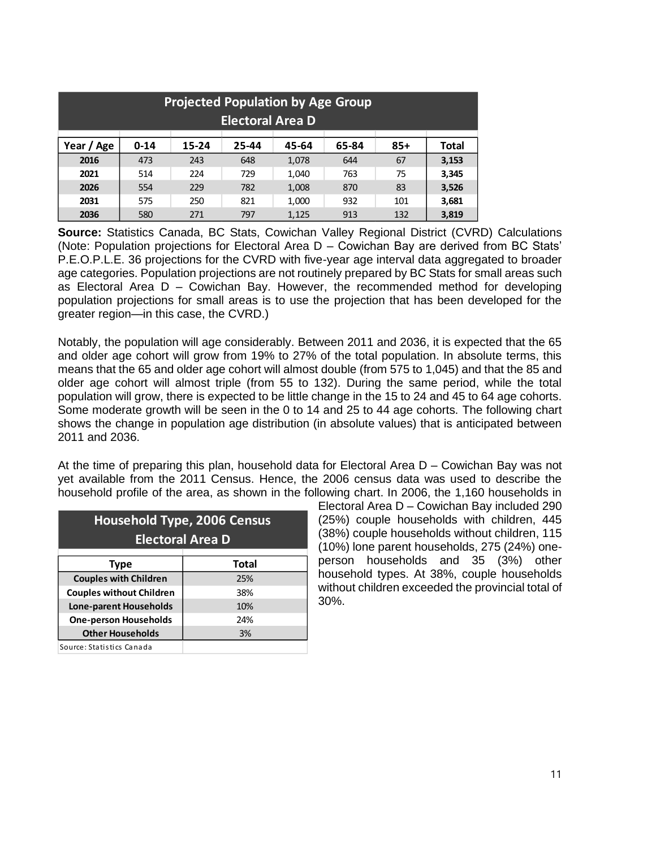| <b>Projected Population by Age Group</b> |                                                                       |     |     |       |     |     |       |
|------------------------------------------|-----------------------------------------------------------------------|-----|-----|-------|-----|-----|-------|
| <b>Electoral Area D</b>                  |                                                                       |     |     |       |     |     |       |
| Year / Age                               | <b>Total</b><br>65-84<br>15-24<br>45-64<br>$85+$<br>$0 - 14$<br>25-44 |     |     |       |     |     |       |
| 2016                                     | 473                                                                   | 243 | 648 | 1,078 | 644 | 67  | 3,153 |
| 2021                                     | 514                                                                   | 224 | 729 | 1,040 | 763 | 75  | 3,345 |
| 2026                                     | 554                                                                   | 229 | 782 | 1,008 | 870 | 83  | 3,526 |
| 2031                                     | 575                                                                   | 250 | 821 | 1,000 | 932 | 101 | 3,681 |
| 2036                                     | 580                                                                   | 271 | 797 | 1,125 | 913 | 132 | 3,819 |

**Source:** Statistics Canada, BC Stats, Cowichan Valley Regional District (CVRD) Calculations (Note: Population projections for Electoral Area D – Cowichan Bay are derived from BC Stats' P.E.O.P.L.E. 36 projections for the CVRD with five-year age interval data aggregated to broader age categories. Population projections are not routinely prepared by BC Stats for small areas such as Electoral Area D – Cowichan Bay. However, the recommended method for developing population projections for small areas is to use the projection that has been developed for the greater region—in this case, the CVRD.)

Notably, the population will age considerably. Between 2011 and 2036, it is expected that the 65 and older age cohort will grow from 19% to 27% of the total population. In absolute terms, this means that the 65 and older age cohort will almost double (from 575 to 1,045) and that the 85 and older age cohort will almost triple (from 55 to 132). During the same period, while the total population will grow, there is expected to be little change in the 15 to 24 and 45 to 64 age cohorts. Some moderate growth will be seen in the 0 to 14 and 25 to 44 age cohorts. The following chart shows the change in population age distribution (in absolute values) that is anticipated between 2011 and 2036.

At the time of preparing this plan, household data for Electoral Area D – Cowichan Bay was not yet available from the 2011 Census. Hence, the 2006 census data was used to describe the household profile of the area, as shown in the following chart. In 2006, the 1,160 households in

| <b>Household Type, 2006 Census</b>  |              |  |  |  |
|-------------------------------------|--------------|--|--|--|
| <b>Electoral Area D</b>             |              |  |  |  |
| Type                                | <b>Total</b> |  |  |  |
| <b>Couples with Children</b>        | 25%          |  |  |  |
| <b>Couples without Children</b>     | 38%          |  |  |  |
| <b>Lone-parent Households</b>       | 10%          |  |  |  |
| <b>One-person Households</b><br>24% |              |  |  |  |
| <b>Other Households</b><br>3%       |              |  |  |  |
| Source: Statistics Canada           |              |  |  |  |

Electoral Area D – Cowichan Bay included 290 (25%) couple households with children, 445 (38%) couple households without children, 115 (10%) lone parent households, 275 (24%) oneperson households and 35 (3%) other household types. At 38%, couple households without children exceeded the provincial total of 30%.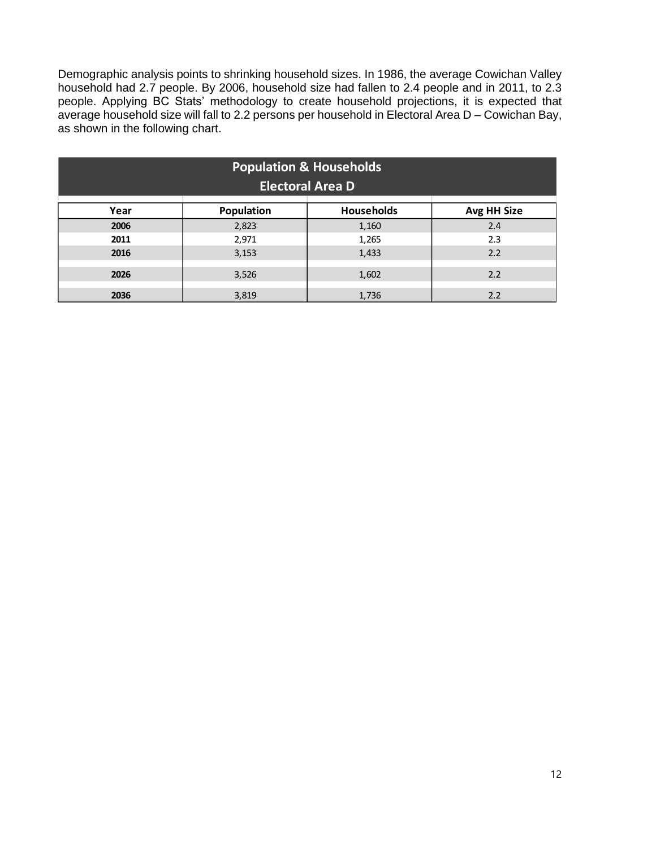Demographic analysis points to shrinking household sizes. In 1986, the average Cowichan Valley household had 2.7 people. By 2006, household size had fallen to 2.4 people and in 2011, to 2.3 people. Applying BC Stats' methodology to create household projections, it is expected that average household size will fall to 2.2 persons per household in Electoral Area D – Cowichan Bay, as shown in the following chart.

| <b>Population &amp; Households</b><br><b>Electoral Area D</b> |            |                   |                    |  |  |
|---------------------------------------------------------------|------------|-------------------|--------------------|--|--|
| Year                                                          | Population | <b>Households</b> | <b>Avg HH Size</b> |  |  |
| 2006                                                          | 2,823      | 1,160             | 2.4                |  |  |
| 2011                                                          | 2,971      | 1,265             | 2.3                |  |  |
| 2016                                                          | 3,153      | 1,433             | 2.2                |  |  |
| 2026                                                          | 3,526      | 1,602             | 2.2                |  |  |
| 2036                                                          | 3,819      | 1,736             | 2.2                |  |  |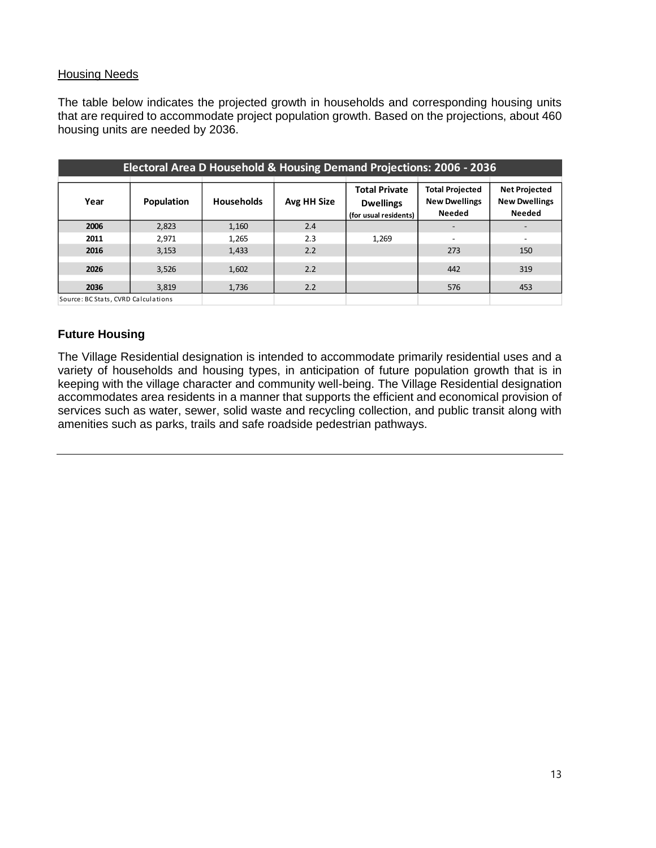### Housing Needs

The table below indicates the projected growth in households and corresponding housing units that are required to accommodate project population growth. Based on the projections, about 460 housing units are needed by 2036.

| Electoral Area D Household & Housing Demand Projections: 2006 - 2036                                                        |                   |                   |             |                                                                   |                                                                 |                                                               |
|-----------------------------------------------------------------------------------------------------------------------------|-------------------|-------------------|-------------|-------------------------------------------------------------------|-----------------------------------------------------------------|---------------------------------------------------------------|
| Year                                                                                                                        | <b>Population</b> | <b>Households</b> | Avg HH Size | <b>Total Private</b><br><b>Dwellings</b><br>(for usual residents) | <b>Total Projected</b><br><b>New Dwellings</b><br><b>Needed</b> | <b>Net Projected</b><br><b>New Dwellings</b><br><b>Needed</b> |
| 2006                                                                                                                        | 2,823             | 1,160             | 2.4         |                                                                   |                                                                 |                                                               |
| 2011                                                                                                                        | 2,971             | 1,265             | 2.3         | 1,269                                                             |                                                                 | $\overline{\phantom{a}}$                                      |
| 2016                                                                                                                        | 3,153             | 1,433             | 2.2         |                                                                   | 273                                                             | 150                                                           |
| 2026                                                                                                                        | 3,526             | 1,602             | 2.2         |                                                                   | 442                                                             | 319                                                           |
| 2036                                                                                                                        | 3,819             | 1,736             | 2.2         |                                                                   | 576                                                             | 453                                                           |
| $\mathsf{C}$ auros: $\mathsf{D} \mathsf{C}$ $\mathsf{C}$ tate $\mathsf{C}$ $\mathsf{D} \mathsf{D}$ $\mathsf{C}$ algulations |                   |                   |             |                                                                   |                                                                 |                                                               |

Source: BC Stats, CVRD Calculations

### **Future Housing**

The Village Residential designation is intended to accommodate primarily residential uses and a variety of households and housing types, in anticipation of future population growth that is in keeping with the village character and community well-being. The Village Residential designation accommodates area residents in a manner that supports the efficient and economical provision of services such as water, sewer, solid waste and recycling collection, and public transit along with amenities such as parks, trails and safe roadside pedestrian pathways.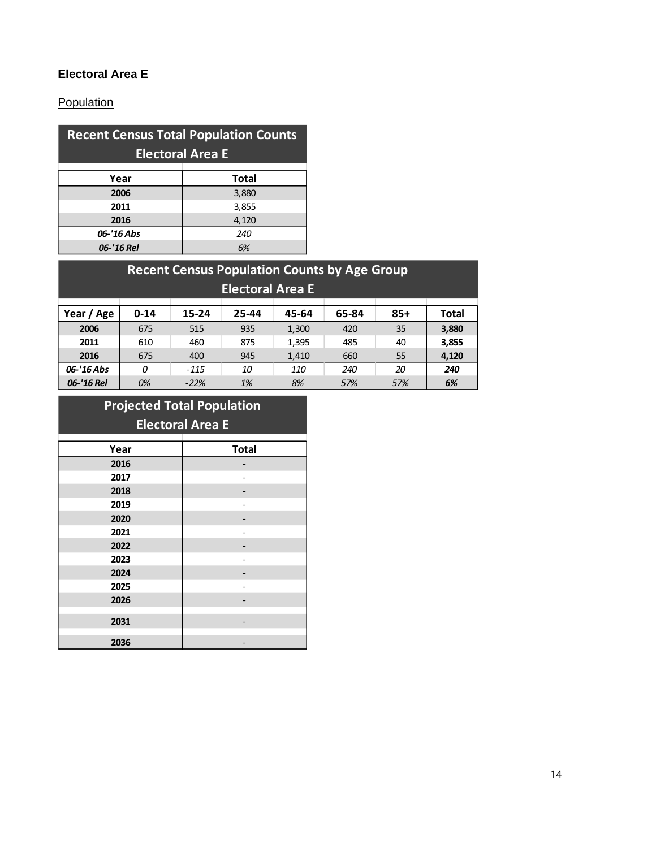# **Electoral Area E**

## **Population**

| <b>Recent Census Total Population Counts</b> |       |  |  |  |
|----------------------------------------------|-------|--|--|--|
| <b>Electoral Area E</b>                      |       |  |  |  |
| Year                                         | Total |  |  |  |
| 2006                                         | 3,880 |  |  |  |
| 2011                                         | 3,855 |  |  |  |
| 2016                                         | 4,120 |  |  |  |
| 06-'16 Abs                                   | 240   |  |  |  |
| 06-'16 Rel<br>6%                             |       |  |  |  |

# **Recent Census Population Counts by Age Group**

| <b>Electoral Area E</b> |          |        |       |            |       |       |              |
|-------------------------|----------|--------|-------|------------|-------|-------|--------------|
| Year / Age              | $0 - 14$ | 15-24  | 25-44 | 45-64      | 65-84 | $85+$ | <b>Total</b> |
| 2006                    | 675      | 515    | 935   | 1,300      | 420   | 35    | 3,880        |
| 2011                    | 610      | 460    | 875   | 1,395      | 485   | 40    | 3,855        |
| 2016                    | 675      | 400    | 945   | 1,410      | 660   | 55    | 4,120        |
| 06-'16 Abs              | 0        | $-115$ | 10    | <i>110</i> | 240   | 20    | 240          |
| 06-'16 Rel              | 0%       | $-22%$ | 1%    | 8%         | 57%   | 57%   | 6%           |

# **Projected Total Population Electoral Area E**

| Year | <b>Total</b> |
|------|--------------|
| 2016 |              |
| 2017 |              |
| 2018 |              |
| 2019 |              |
| 2020 |              |
| 2021 |              |
| 2022 |              |
| 2023 |              |
| 2024 |              |
| 2025 |              |
| 2026 |              |
|      |              |
| 2031 |              |
| 2036 |              |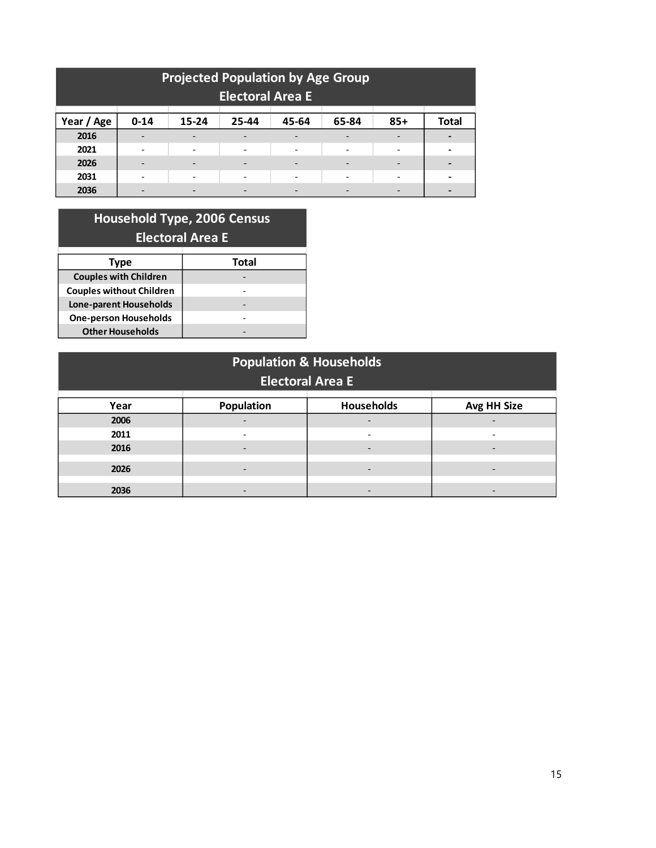| <b>Projected Population by Age Group</b> |          |                          |       |       |       |                          |                |  |
|------------------------------------------|----------|--------------------------|-------|-------|-------|--------------------------|----------------|--|
| <b>Electoral Area E</b>                  |          |                          |       |       |       |                          |                |  |
| Year / Age                               | $0 - 14$ | 15-24                    | 25-44 | 45-64 | 65-84 | $85+$                    | <b>Total</b>   |  |
| 2016                                     |          |                          |       |       |       |                          |                |  |
| 2021                                     |          | $\overline{\phantom{0}}$ |       |       |       | $\overline{\phantom{0}}$ | $\blacksquare$ |  |
| 2026                                     |          | $\overline{\phantom{0}}$ |       |       |       |                          | $\blacksquare$ |  |
| 2031                                     |          | $\overline{\phantom{a}}$ |       |       | -     |                          | $\blacksquare$ |  |
| 2036                                     |          |                          |       |       |       |                          |                |  |

# **Household Type, 2006 Census Electoral Area E**

| Type                            | Total |  |  |  |  |  |
|---------------------------------|-------|--|--|--|--|--|
| <b>Couples with Children</b>    |       |  |  |  |  |  |
| <b>Couples without Children</b> |       |  |  |  |  |  |
| <b>Lone-parent Households</b>   |       |  |  |  |  |  |
| <b>One-person Households</b>    |       |  |  |  |  |  |
| <b>Other Households</b>         |       |  |  |  |  |  |

| <b>Population &amp; Households</b><br><b>Electoral Area E</b> |                                                |  |  |  |  |  |  |  |  |
|---------------------------------------------------------------|------------------------------------------------|--|--|--|--|--|--|--|--|
| Year                                                          | <b>Households</b><br>Population<br>Avg HH Size |  |  |  |  |  |  |  |  |
| 2006                                                          |                                                |  |  |  |  |  |  |  |  |
| 2011                                                          |                                                |  |  |  |  |  |  |  |  |
| 2016                                                          |                                                |  |  |  |  |  |  |  |  |
| 2026                                                          |                                                |  |  |  |  |  |  |  |  |
| 2036                                                          |                                                |  |  |  |  |  |  |  |  |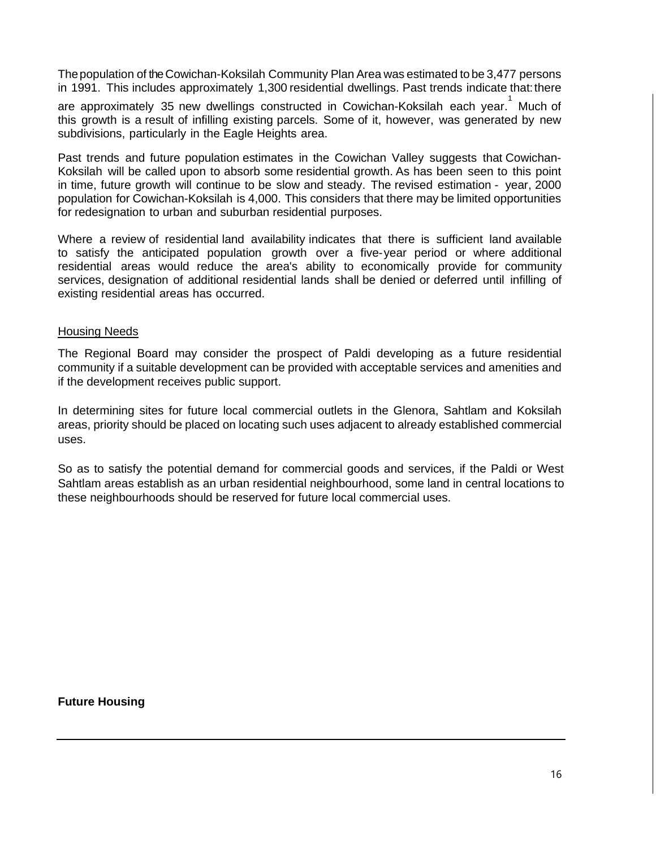Thepopulation of the Cowichan-Koksilah Community Plan Area was estimated to be 3,477 persons in 1991. This includes approximately 1,300 residential dwellings. Past trends indicate that: there

are approximately 35 new dwellings constructed in Cowichan-Koksilah each year. 1 Much of this growth is a result of infilling existing parcels. Some of it, however, was generated by new subdivisions, particularly in the Eagle Heights area.

Past trends and future population estimates in the Cowichan Valley suggests that Cowichan-Koksilah will be called upon to absorb some residential growth. As has been seen to this point in time, future growth will continue to be slow and steady. The revised estimation - year, 2000 population for Cowichan-Koksilah is 4,000. This considers that there may be limited opportunities for redesignation to urban and suburban residential purposes.

Where a review of residential land availability indicates that there is sufficient land available to satisfy the anticipated population growth over a five-year period or where additional residential areas would reduce the area's ability to economically provide for community services, designation of additional residential lands shall be denied or deferred until infilling of existing residential areas has occurred.

#### Housing Needs

The Regional Board may consider the prospect of Paldi developing as a future residential community if a suitable development can be provided with acceptable services and amenities and if the development receives public support.

In determining sites for future local commercial outlets in the Glenora, Sahtlam and Koksilah areas, priority should be placed on locating such uses adjacent to already established commercial uses.

So as to satisfy the potential demand for commercial goods and services, if the Paldi or West Sahtlam areas establish as an urban residential neighbourhood, some land in central locations to these neighbourhoods should be reserved for future local commercial uses.

**Future Housing**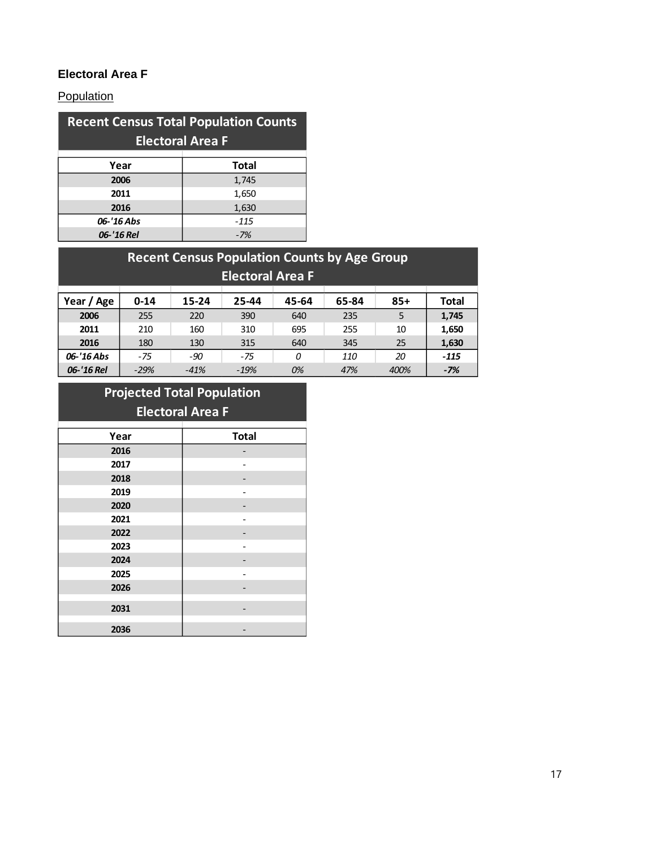## **Electoral Area F**

**Population** 

| <b>Recent Census Total Population Counts</b><br><b>Electoral Area F</b> |              |  |  |  |  |  |
|-------------------------------------------------------------------------|--------------|--|--|--|--|--|
|                                                                         |              |  |  |  |  |  |
| Year                                                                    | <b>Total</b> |  |  |  |  |  |
| 2006                                                                    | 1,745        |  |  |  |  |  |
| 2011                                                                    | 1,650        |  |  |  |  |  |
| 2016                                                                    | 1,630        |  |  |  |  |  |
| 06-'16 Abs<br>$-115$                                                    |              |  |  |  |  |  |
| 06-'16 Rel                                                              | -7%          |  |  |  |  |  |

| <b>Recent Census Population Counts by Age Group</b> |          |        |        |       |       |       |              |  |
|-----------------------------------------------------|----------|--------|--------|-------|-------|-------|--------------|--|
| <b>Electoral Area F</b>                             |          |        |        |       |       |       |              |  |
|                                                     |          |        |        |       |       |       |              |  |
| Year / Age                                          | $0 - 14$ | 15-24  | 25-44  | 45-64 | 65-84 | $85+$ | <b>Total</b> |  |
| 2006                                                | 255      | 220    | 390    | 640   | 235   | 5     | 1,745        |  |
| 2011                                                | 210      | 160    | 310    | 695   | 255   | 10    | 1,650        |  |
| 2016                                                | 180      | 130    | 315    | 640   | 345   | 25    | 1,630        |  |
| 06-'16 Abs                                          | $-75$    | -90    | $-75$  | 0     | 110   | 20    | $-115$       |  |
| 06-'16 Rel                                          | $-29%$   | $-41%$ | $-19%$ | 0%    | 47%   | 400%  | $-7%$        |  |

# **Projected Total Population Electoral Area F**

| Year | <b>Total</b> |
|------|--------------|
| 2016 |              |
| 2017 |              |
| 2018 |              |
| 2019 |              |
| 2020 |              |
| 2021 |              |
| 2022 |              |
| 2023 |              |
| 2024 |              |
| 2025 |              |
| 2026 |              |
|      |              |
| 2031 |              |
| 2036 |              |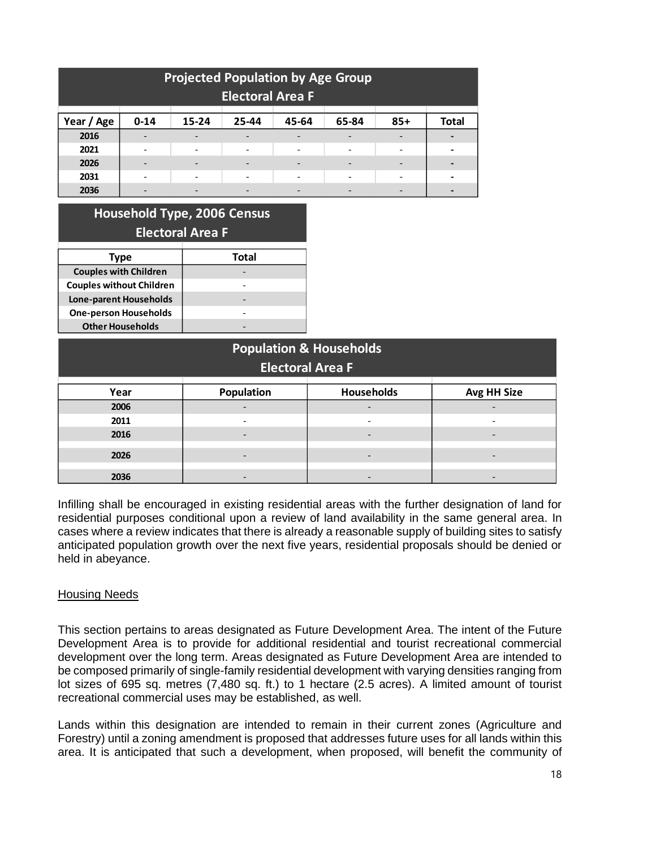| <b>Projected Population by Age Group</b> |          |       |       |       |       |       |              |  |
|------------------------------------------|----------|-------|-------|-------|-------|-------|--------------|--|
| <b>Electoral Area F</b>                  |          |       |       |       |       |       |              |  |
|                                          |          |       |       |       |       |       |              |  |
| Year / Age                               | $0 - 14$ | 15-24 | 25-44 | 45-64 | 65-84 | $85+$ | <b>Total</b> |  |
| 2016                                     |          |       |       |       |       |       |              |  |
| 2021                                     |          |       |       |       |       |       |              |  |
| 2026                                     |          |       |       |       |       |       |              |  |
| 2031                                     |          |       |       |       |       |       |              |  |
| 2036                                     |          |       |       |       |       |       |              |  |

# **Household Type, 2006 Census Electoral Area F**

| Type                            | Total |
|---------------------------------|-------|
| <b>Couples with Children</b>    |       |
| <b>Couples without Children</b> |       |
| <b>Lone-parent Households</b>   |       |
| <b>One-person Households</b>    |       |
| <b>Other Households</b>         |       |

| <b>Population &amp; Households</b><br><b>Electoral Area F</b> |  |  |  |  |  |  |  |  |
|---------------------------------------------------------------|--|--|--|--|--|--|--|--|
| Population<br>Households<br><b>Avg HH Size</b><br>Year        |  |  |  |  |  |  |  |  |
| 2006                                                          |  |  |  |  |  |  |  |  |
| 2011                                                          |  |  |  |  |  |  |  |  |
| 2016                                                          |  |  |  |  |  |  |  |  |
| 2026                                                          |  |  |  |  |  |  |  |  |
| 2036                                                          |  |  |  |  |  |  |  |  |

Infilling shall be encouraged in existing residential areas with the further designation of land for residential purposes conditional upon a review of land availability in the same general area. In cases where a review indicates that there is already a reasonable supply of building sites to satisfy anticipated population growth over the next five years, residential proposals should be denied or held in abeyance.

### Housing Needs

This section pertains to areas designated as Future Development Area. The intent of the Future Development Area is to provide for additional residential and tourist recreational commercial development over the long term. Areas designated as Future Development Area are intended to be composed primarily of single-family residential development with varying densities ranging from lot sizes of 695 sq. metres (7,480 sq. ft.) to 1 hectare (2.5 acres). A limited amount of tourist recreational commercial uses may be established, as well.

Lands within this designation are intended to remain in their current zones (Agriculture and Forestry) until a zoning amendment is proposed that addresses future uses for all lands within this area. It is anticipated that such a development, when proposed, will benefit the community of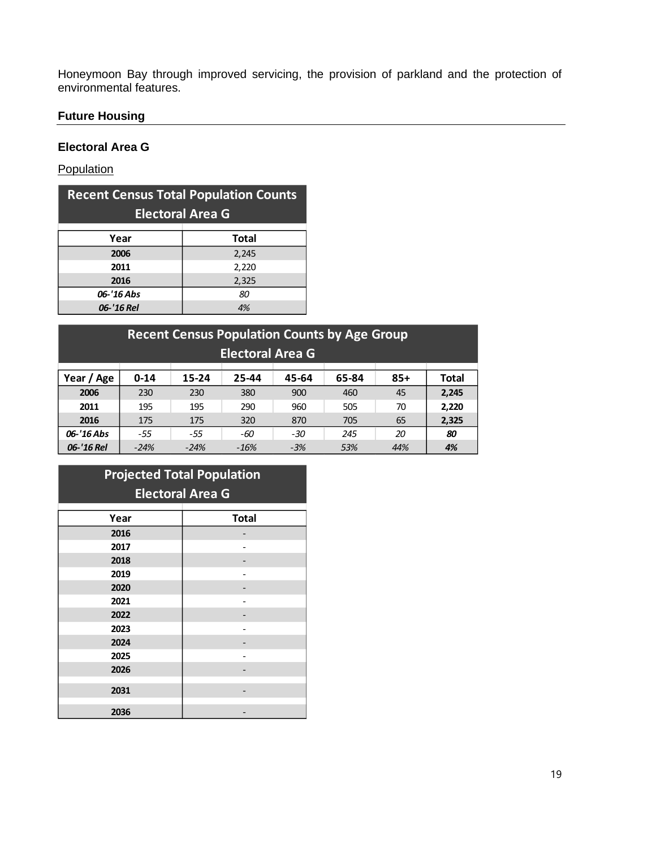Honeymoon Bay through improved servicing, the provision of parkland and the protection of environmental features.

### **Future Housing**

### **Electoral Area G**

**Population** 

| <b>Recent Census Total Population Counts</b><br><b>Electoral Area G</b> |       |  |  |  |  |  |
|-------------------------------------------------------------------------|-------|--|--|--|--|--|
| <b>Total</b><br>Year                                                    |       |  |  |  |  |  |
| 2006                                                                    | 2,245 |  |  |  |  |  |
| 2011                                                                    | 2,220 |  |  |  |  |  |
| 2016<br>2,325                                                           |       |  |  |  |  |  |
| 06-'16 Abs                                                              | 80    |  |  |  |  |  |
| 06-'16 Rel                                                              | 4%    |  |  |  |  |  |

# **Recent Census Population Counts by Age Group Electoral Area G**

| Year / Age | $0 - 14$ | 15-24  | 25-44  | 45-64 | 65-84 | $85+$ | Total |
|------------|----------|--------|--------|-------|-------|-------|-------|
| 2006       | 230      | 230    | 380    | 900   | 460   | 45    | 2,245 |
| 2011       | 195      | 195    | 290    | 960   | 505   | 70    | 2.220 |
| 2016       | 175      | 175    | 320    | 870   | 705   | 65    | 2,325 |
| 06-'16 Abs | -55      | -55    | -60    | -30   | 245   | 20    | 80    |
| 06-'16 Rel | $-24%$   | $-24%$ | $-16%$ | $-3%$ | 53%   | 44%   | 4%    |

# **Projected Total Population Electoral Area G**

| Year | <b>Total</b> |
|------|--------------|
| 2016 |              |
| 2017 |              |
| 2018 |              |
| 2019 |              |
| 2020 |              |
| 2021 |              |
| 2022 |              |
| 2023 |              |
| 2024 |              |
| 2025 |              |
| 2026 |              |
|      |              |
| 2031 |              |
| 2036 |              |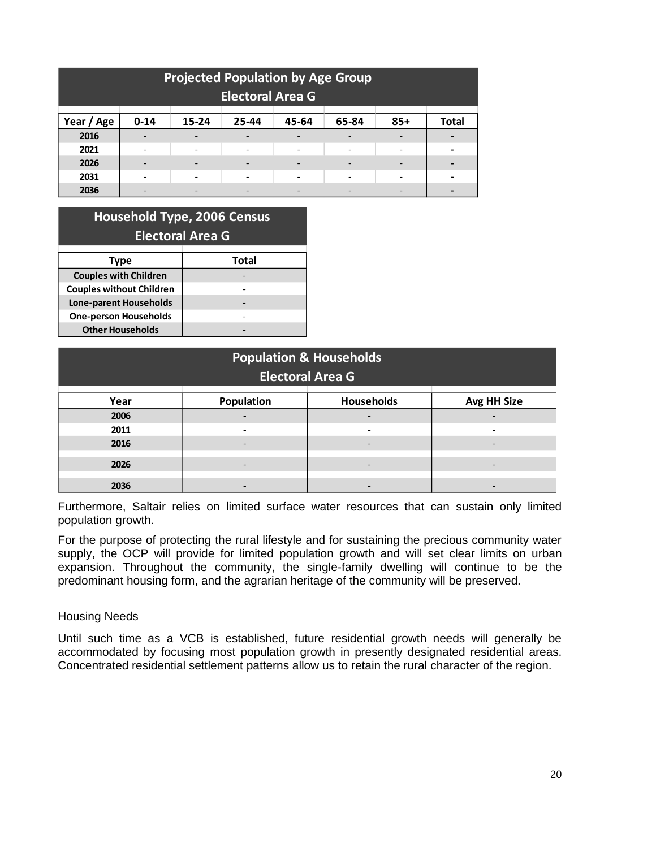| <b>Projected Population by Age Group</b> |                         |                          |       |       |       |       |              |  |  |
|------------------------------------------|-------------------------|--------------------------|-------|-------|-------|-------|--------------|--|--|
|                                          | <b>Electoral Area G</b> |                          |       |       |       |       |              |  |  |
| Year / Age                               | $0 - 14$                | 15-24                    | 25-44 | 45-64 | 65-84 | $85+$ | <b>Total</b> |  |  |
| 2016                                     |                         |                          |       |       |       |       |              |  |  |
| 2021                                     |                         |                          |       |       |       |       |              |  |  |
| 2026                                     |                         | $\overline{\phantom{0}}$ |       |       |       |       |              |  |  |
| 2031                                     |                         |                          |       |       |       |       |              |  |  |
| 2036                                     |                         |                          |       |       |       |       |              |  |  |

# **Type Total Household Type, 2006 Census Electoral Area G**

| <b>Couples with Children</b>    |  |
|---------------------------------|--|
| <b>Couples without Children</b> |  |
| <b>Lone-parent Households</b>   |  |
| <b>One-person Households</b>    |  |
| <b>Other Households</b>         |  |

| <b>Population &amp; Households</b><br><b>Electoral Area G</b> |                                                              |                          |  |  |  |  |  |  |
|---------------------------------------------------------------|--------------------------------------------------------------|--------------------------|--|--|--|--|--|--|
| Year                                                          | <b>Households</b><br><b>Population</b><br><b>Avg HH Size</b> |                          |  |  |  |  |  |  |
| 2006                                                          |                                                              |                          |  |  |  |  |  |  |
| 2011                                                          |                                                              | $\overline{\phantom{0}}$ |  |  |  |  |  |  |
| 2016                                                          |                                                              |                          |  |  |  |  |  |  |
| 2026                                                          |                                                              |                          |  |  |  |  |  |  |
| 2036                                                          |                                                              |                          |  |  |  |  |  |  |

Furthermore, Saltair relies on limited surface water resources that can sustain only limited population growth.

For the purpose of protecting the rural lifestyle and for sustaining the precious community water supply, the OCP will provide for limited population growth and will set clear limits on urban expansion. Throughout the community, the single-family dwelling will continue to be the predominant housing form, and the agrarian heritage of the community will be preserved.

#### Housing Needs

Until such time as a VCB is established, future residential growth needs will generally be accommodated by focusing most population growth in presently designated residential areas. Concentrated residential settlement patterns allow us to retain the rural character of the region.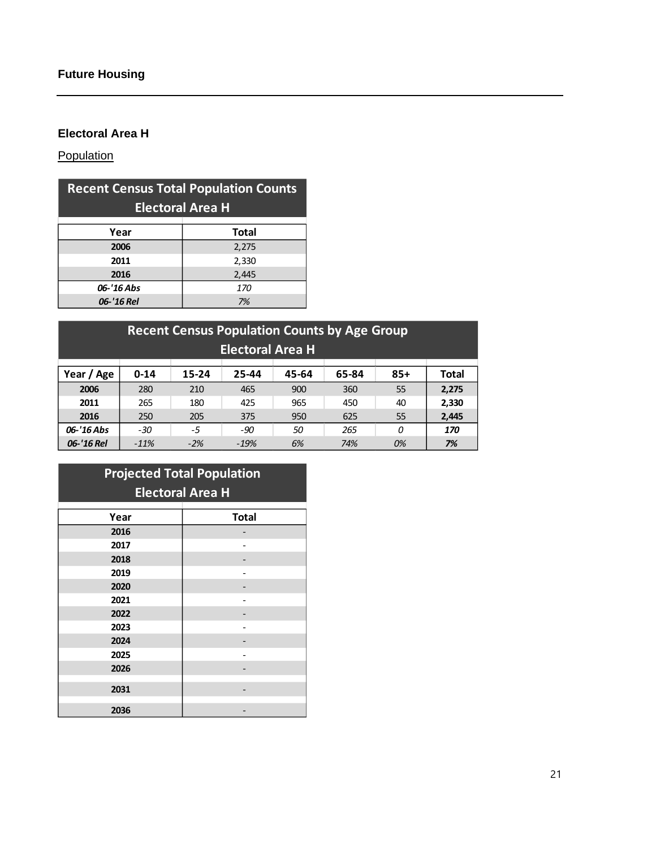## **Electoral Area H**

**Population** 

| <b>Recent Census Total Population Counts</b><br><b>Electoral Area H</b> |              |  |  |  |  |  |
|-------------------------------------------------------------------------|--------------|--|--|--|--|--|
|                                                                         |              |  |  |  |  |  |
| Year                                                                    | <b>Total</b> |  |  |  |  |  |
| 2006                                                                    | 2,275        |  |  |  |  |  |
| 2011                                                                    | 2,330        |  |  |  |  |  |
| 2016                                                                    | 2,445        |  |  |  |  |  |
| 06-'16 Abs                                                              | 170          |  |  |  |  |  |
| 06-'16 Rel                                                              | 7%           |  |  |  |  |  |

| <b>Recent Census Population Counts by Age Group</b> |          |       |        |       |       |       |              |  |
|-----------------------------------------------------|----------|-------|--------|-------|-------|-------|--------------|--|
| <b>Electoral Area H</b>                             |          |       |        |       |       |       |              |  |
| Year / Age                                          | $0 - 14$ | 15-24 | 25-44  | 45-64 | 65-84 | $85+$ | <b>Total</b> |  |
| 2006                                                | 280      | 210   | 465    | 900   | 360   | 55    | 2,275        |  |
| 2011                                                | 265      | 180   | 425    | 965   | 450   | 40    | 2,330        |  |
| 2016                                                | 250      | 205   | 375    | 950   | 625   | 55    | 2,445        |  |
| 06-'16 Abs                                          | $-30$    | -5    | $-90$  | 50    | 265   | 0     | 170          |  |
| 06-'16 Rel                                          | $-11%$   | $-2%$ | $-19%$ | 6%    | 74%   | 0%    | 7%           |  |

# **Projected Total Population Electoral Area H**

| Year | <b>Total</b> |
|------|--------------|
| 2016 |              |
| 2017 |              |
| 2018 |              |
| 2019 |              |
| 2020 |              |
| 2021 |              |
| 2022 |              |
| 2023 |              |
| 2024 |              |
| 2025 |              |
| 2026 |              |
|      |              |
| 2031 |              |
| 2036 |              |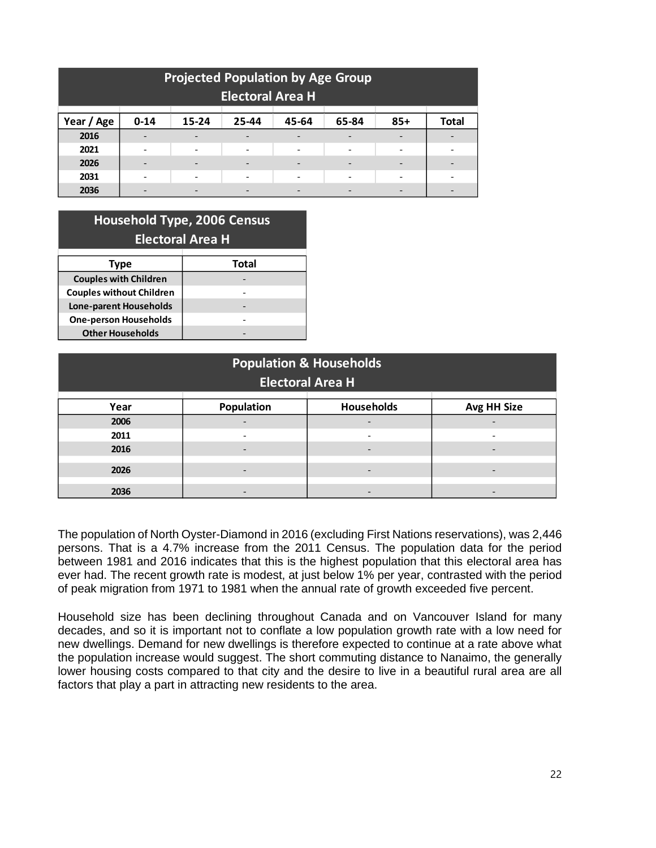| <b>Projected Population by Age Group</b> |          |       |       |       |       |       |                          |  |
|------------------------------------------|----------|-------|-------|-------|-------|-------|--------------------------|--|
| <b>Electoral Area H</b>                  |          |       |       |       |       |       |                          |  |
| Year / Age                               | $0 - 14$ | 15-24 | 25-44 | 45-64 | 65-84 | $85+$ | <b>Total</b>             |  |
| 2016                                     |          |       |       |       |       |       |                          |  |
| 2021                                     |          |       |       |       |       |       | $\overline{\phantom{0}}$ |  |
| 2026                                     |          |       |       |       |       |       |                          |  |
| 2031                                     |          |       |       |       |       |       |                          |  |
| 2036                                     |          |       |       |       |       |       |                          |  |

# **Household Type, 2006 Census Electoral Area H**

| Type                            | Total |
|---------------------------------|-------|
| <b>Couples with Children</b>    |       |
| <b>Couples without Children</b> |       |
| <b>Lone-parent Households</b>   |       |
| <b>One-person Households</b>    |       |
| <b>Other Households</b>         |       |

| <b>Population &amp; Households</b> |                                                |  |  |  |  |  |  |  |  |
|------------------------------------|------------------------------------------------|--|--|--|--|--|--|--|--|
| <b>Electoral Area H</b>            |                                                |  |  |  |  |  |  |  |  |
| Year                               | <b>Households</b><br>Population<br>Avg HH Size |  |  |  |  |  |  |  |  |
| 2006                               |                                                |  |  |  |  |  |  |  |  |
| 2011                               |                                                |  |  |  |  |  |  |  |  |
| 2016                               |                                                |  |  |  |  |  |  |  |  |
| 2026                               |                                                |  |  |  |  |  |  |  |  |
| 2036                               |                                                |  |  |  |  |  |  |  |  |

The population of North Oyster-Diamond in 2016 (excluding First Nations reservations), was 2,446 persons. That is a 4.7% increase from the 2011 Census. The population data for the period between 1981 and 2016 indicates that this is the highest population that this electoral area has ever had. The recent growth rate is modest, at just below 1% per year, contrasted with the period of peak migration from 1971 to 1981 when the annual rate of growth exceeded five percent.

Household size has been declining throughout Canada and on Vancouver Island for many decades, and so it is important not to conflate a low population growth rate with a low need for new dwellings. Demand for new dwellings is therefore expected to continue at a rate above what the population increase would suggest. The short commuting distance to Nanaimo, the generally lower housing costs compared to that city and the desire to live in a beautiful rural area are all factors that play a part in attracting new residents to the area.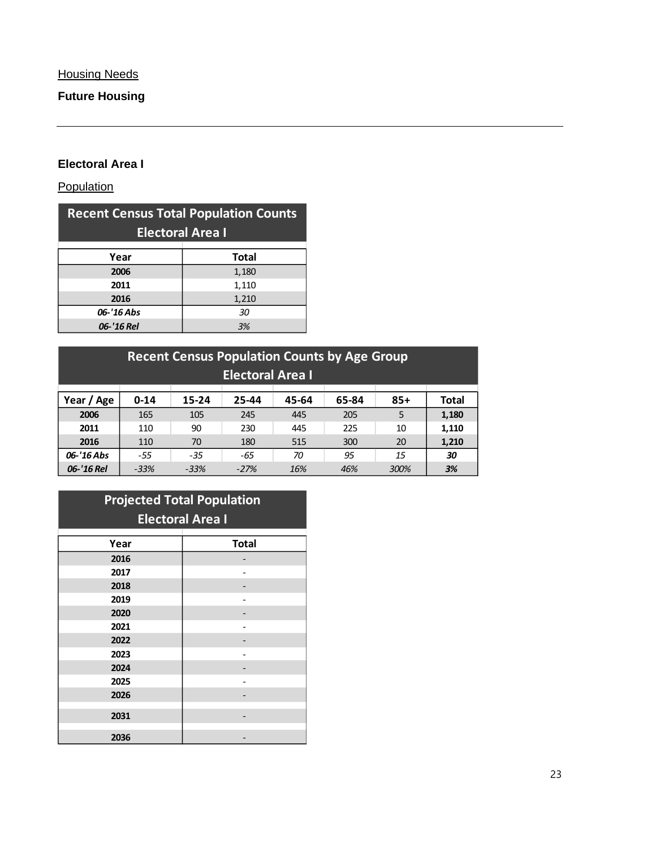## **Electoral Area I**

**Population** 

| <b>Recent Census Total Population Counts</b><br><b>Electoral Area I</b> |              |  |  |  |  |  |
|-------------------------------------------------------------------------|--------------|--|--|--|--|--|
|                                                                         |              |  |  |  |  |  |
| Year                                                                    | <b>Total</b> |  |  |  |  |  |
| 2006                                                                    | 1,180        |  |  |  |  |  |
| 2011                                                                    | 1,110        |  |  |  |  |  |
| 2016                                                                    | 1,210        |  |  |  |  |  |
| 06-'16 Abs<br>30                                                        |              |  |  |  |  |  |
| 06-'16 Rel                                                              | 3%           |  |  |  |  |  |

| <b>Recent Census Population Counts by Age Group</b><br><b>Electoral Area I</b> |                                                                       |        |        |     |     |      |       |  |
|--------------------------------------------------------------------------------|-----------------------------------------------------------------------|--------|--------|-----|-----|------|-------|--|
| Year / Age                                                                     | <b>Total</b><br>45-64<br>15-24<br>65-84<br>$85+$<br>$0 - 14$<br>25-44 |        |        |     |     |      |       |  |
| 2006                                                                           | 165                                                                   | 105    | 245    | 445 | 205 | 5    | 1,180 |  |
| 2011                                                                           | 110                                                                   | 90     | 230    | 445 | 225 | 10   | 1,110 |  |
| 2016                                                                           | 110                                                                   | 70     | 180    | 515 | 300 | 20   | 1,210 |  |
| 06-'16 Abs                                                                     | $-55$                                                                 | $-35$  | $-65$  | 70  | 95  | 15   | 30    |  |
| 06-'16 Rel                                                                     | $-33%$                                                                | $-33%$ | $-27%$ | 16% | 46% | 300% | 3%    |  |

| <b>Projected Total Population</b> |              |  |  |  |  |
|-----------------------------------|--------------|--|--|--|--|
| <b>Electoral Area I</b>           |              |  |  |  |  |
| Year                              | <b>Total</b> |  |  |  |  |
| 2016                              |              |  |  |  |  |
| 2017                              |              |  |  |  |  |
| 2018                              |              |  |  |  |  |
| 2019                              |              |  |  |  |  |
| 2020                              |              |  |  |  |  |
| 2021                              |              |  |  |  |  |
| 2022                              |              |  |  |  |  |
| 2023                              |              |  |  |  |  |
| 2024                              |              |  |  |  |  |
| 2025                              |              |  |  |  |  |
| 2026                              |              |  |  |  |  |
| 2031                              |              |  |  |  |  |
| 2036                              |              |  |  |  |  |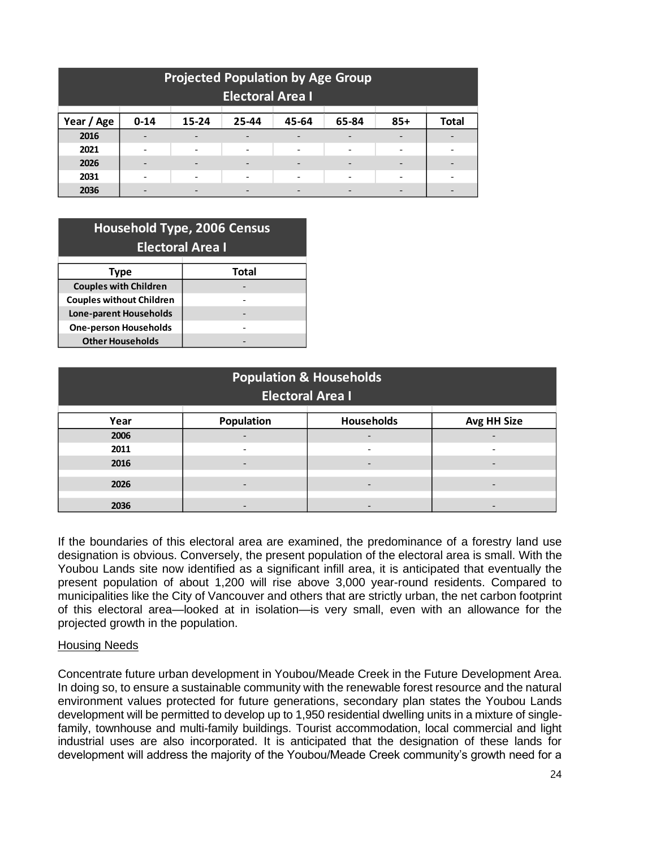| <b>Projected Population by Age Group</b> |          |       |       |       |       |       |              |  |  |
|------------------------------------------|----------|-------|-------|-------|-------|-------|--------------|--|--|
| <b>Electoral Area I</b>                  |          |       |       |       |       |       |              |  |  |
| Year / Age                               | $0 - 14$ | 15-24 | 25-44 | 45-64 | 65-84 | $85+$ | <b>Total</b> |  |  |
| 2016                                     |          |       |       |       |       |       |              |  |  |
| 2021                                     |          |       |       |       |       |       |              |  |  |
| 2026                                     |          |       |       |       |       |       |              |  |  |
| 2031                                     |          |       |       |       |       |       |              |  |  |
| 2036                                     |          |       |       |       |       |       |              |  |  |

# **Household Type, 2006 Census Electoral Area I**

| Type                            | Total |
|---------------------------------|-------|
| <b>Couples with Children</b>    |       |
| <b>Couples without Children</b> |       |
| <b>Lone-parent Households</b>   |       |
| <b>One-person Households</b>    |       |
| <b>Other Households</b>         |       |

| <b>Population &amp; Households</b><br><b>Electoral Area I</b> |            |                   |                    |  |  |  |
|---------------------------------------------------------------|------------|-------------------|--------------------|--|--|--|
| Year                                                          | Population | <b>Households</b> | <b>Avg HH Size</b> |  |  |  |
| 2006                                                          |            |                   |                    |  |  |  |
| 2011                                                          |            |                   |                    |  |  |  |
| 2016                                                          |            |                   |                    |  |  |  |
| 2026                                                          |            |                   |                    |  |  |  |
| 2036                                                          |            |                   |                    |  |  |  |

If the boundaries of this electoral area are examined, the predominance of a forestry land use designation is obvious. Conversely, the present population of the electoral area is small. With the Youbou Lands site now identified as a significant infill area, it is anticipated that eventually the present population of about 1,200 will rise above 3,000 year-round residents. Compared to municipalities like the City of Vancouver and others that are strictly urban, the net carbon footprint of this electoral area—looked at in isolation—is very small, even with an allowance for the projected growth in the population.

#### Housing Needs

Concentrate future urban development in Youbou/Meade Creek in the Future Development Area. In doing so, to ensure a sustainable community with the renewable forest resource and the natural environment values protected for future generations, secondary plan states the Youbou Lands development will be permitted to develop up to 1,950 residential dwelling units in a mixture of singlefamily, townhouse and multi-family buildings. Tourist accommodation, local commercial and light industrial uses are also incorporated. It is anticipated that the designation of these lands for development will address the majority of the Youbou/Meade Creek community's growth need for a